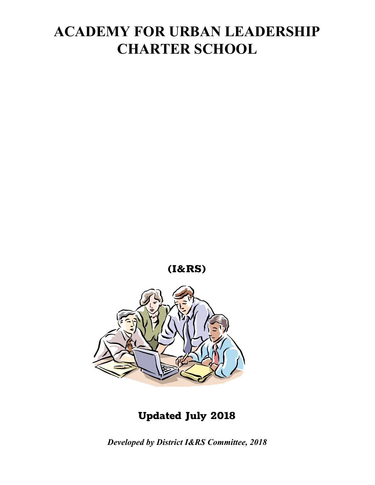

### **Updated July 2018**

*Developed by District I&RS Committee, 2018*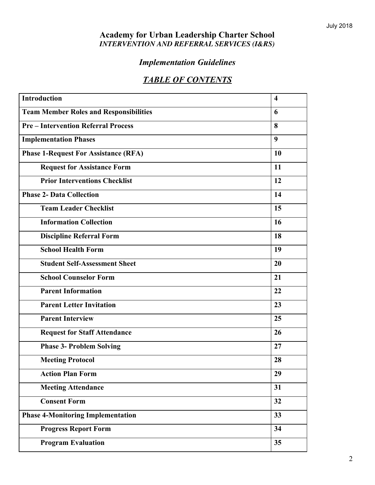#### **Academy for Urban Leadership Charter School** *INTERVENTION AND REFERRAL SERVICES (I&RS)*

### *Implementation Guidelines*

### *TABLE OF CONTENTS*

| <b>Introduction</b>                           | $\overline{\mathbf{4}}$ |
|-----------------------------------------------|-------------------------|
| <b>Team Member Roles and Responsibilities</b> | 6                       |
| <b>Pre-Intervention Referral Process</b>      | 8                       |
| <b>Implementation Phases</b>                  | 9                       |
| <b>Phase 1-Request For Assistance (RFA)</b>   | 10                      |
| <b>Request for Assistance Form</b>            | 11                      |
| <b>Prior Interventions Checklist</b>          | 12                      |
| <b>Phase 2- Data Collection</b>               | 14                      |
| <b>Team Leader Checklist</b>                  | 15                      |
| <b>Information Collection</b>                 | 16                      |
| <b>Discipline Referral Form</b>               | 18                      |
| <b>School Health Form</b>                     | 19                      |
| <b>Student Self-Assessment Sheet</b>          | 20                      |
| <b>School Counselor Form</b>                  | 21                      |
| <b>Parent Information</b>                     | 22                      |
| <b>Parent Letter Invitation</b>               | 23                      |
| <b>Parent Interview</b>                       | 25                      |
| <b>Request for Staff Attendance</b>           | 26                      |
| <b>Phase 3- Problem Solving</b>               | 27                      |
| <b>Meeting Protocol</b>                       | 28                      |
| <b>Action Plan Form</b>                       | 29                      |
| <b>Meeting Attendance</b>                     | 31                      |
| <b>Consent Form</b>                           | 32                      |
| <b>Phase 4-Monitoring Implementation</b>      | 33                      |
| <b>Progress Report Form</b>                   | 34                      |
| <b>Program Evaluation</b>                     | 35                      |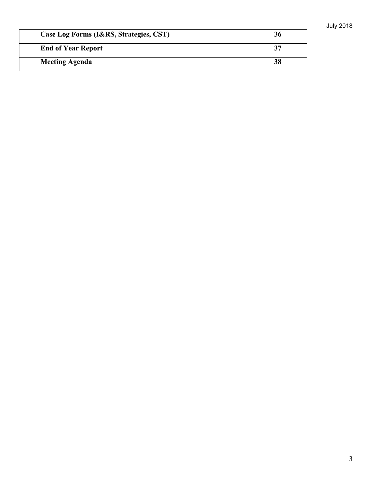| Case Log Forms (I&RS, Strategies, CST) | 36 |
|----------------------------------------|----|
| <b>End of Year Report</b>              |    |
| <b>Meeting Agenda</b>                  | 38 |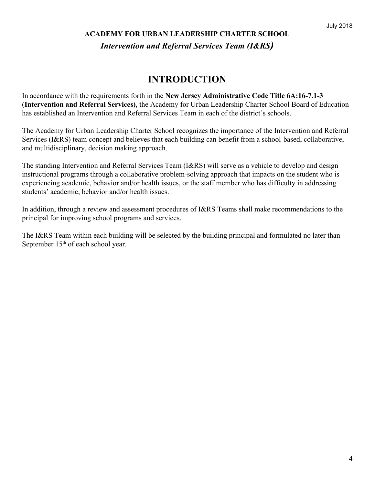### **ACADEMY FOR URBAN LEADERSHIP CHARTER SCHOOL** *Intervention and Referral Services Team (I&RS)*

### **INTRODUCTION**

In accordance with the requirements forth in the **New Jersey Administrative Code Title 6A:16-7.1-3** (**Intervention and Referral Services)**, the Academy for Urban Leadership Charter School Board of Education has established an Intervention and Referral Services Team in each of the district's schools.

The Academy for Urban Leadership Charter School recognizes the importance of the Intervention and Referral Services (I&RS) team concept and believes that each building can benefit from a school-based, collaborative, and multidisciplinary, decision making approach.

The standing Intervention and Referral Services Team (I&RS) will serve as a vehicle to develop and design instructional programs through a collaborative problem-solving approach that impacts on the student who is experiencing academic, behavior and/or health issues, or the staff member who has difficulty in addressing students' academic, behavior and/or health issues.

In addition, through a review and assessment procedures of I&RS Teams shall make recommendations to the principal for improving school programs and services.

The I&RS Team within each building will be selected by the building principal and formulated no later than September 15<sup>th</sup> of each school year.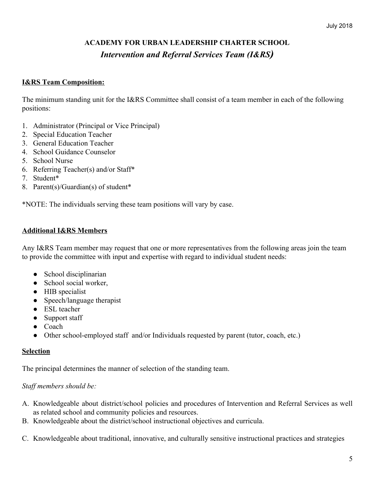### **ACADEMY FOR URBAN LEADERSHIP CHARTER SCHOOL** *Intervention and Referral Services Team (I&RS)*

#### **I&RS Team Composition:**

The minimum standing unit for the I&RS Committee shall consist of a team member in each of the following positions:

- 1. Administrator (Principal or Vice Principal)
- 2. Special Education Teacher
- 3. General Education Teacher
- 4. School Guidance Counselor
- 5. School Nurse
- 6. Referring Teacher(s) and/or Staff\*
- 7. Student\*
- 8. Parent(s)/Guardian(s) of student\*

\*NOTE: The individuals serving these team positions will vary by case.

#### **Additional I&RS Members**

Any I&RS Team member may request that one or more representatives from the following areas join the team to provide the committee with input and expertise with regard to individual student needs:

- School disciplinarian
- School social worker,
- HIB specialist
- Speech/language therapist
- ESL teacher
- Support staff
- Coach
- Other school-employed staff and/or Individuals requested by parent (tutor, coach, etc.)

#### **Selection**

The principal determines the manner of selection of the standing team.

#### *Staff members should be:*

- A. Knowledgeable about district/school policies and procedures of Intervention and Referral Services as well as related school and community policies and resources.
- B. Knowledgeable about the district/school instructional objectives and curricula.
- C. Knowledgeable about traditional, innovative, and culturally sensitive instructional practices and strategies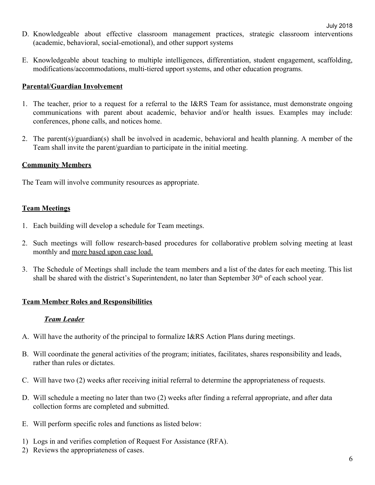- D. Knowledgeable about effective classroom management practices, strategic classroom interventions (academic, behavioral, social-emotional), and other support systems
- E. Knowledgeable about teaching to multiple intelligences, differentiation, student engagement, scaffolding, modifications/accommodations, multi-tiered upport systems, and other education programs.

#### **Parental/Guardian Involvement**

- 1. The teacher, prior to a request for a referral to the I&RS Team for assistance, must demonstrate ongoing communications with parent about academic, behavior and/or health issues. Examples may include: conferences, phone calls, and notices home.
- 2. The parent(s)/guardian(s) shall be involved in academic, behavioral and health planning. A member of the Team shall invite the parent/guardian to participate in the initial meeting.

#### **Community Members**

The Team will involve community resources as appropriate.

#### **Team Meetings**

- 1. Each building will develop a schedule for Team meetings.
- 2. Such meetings will follow research-based procedures for collaborative problem solving meeting at least monthly and more based upon case load.
- 3. The Schedule of Meetings shall include the team members and a list of the dates for each meeting. This list shall be shared with the district's Superintendent, no later than September 30<sup>th</sup> of each school year.

#### **Team Member Roles and Responsibilities**

#### *Team Leader*

- A. Will have the authority of the principal to formalize I&RS Action Plans during meetings.
- B. Will coordinate the general activities of the program; initiates, facilitates, shares responsibility and leads, rather than rules or dictates.
- C. Will have two (2) weeks after receiving initial referral to determine the appropriateness of requests.
- D. Will schedule a meeting no later than two (2) weeks after finding a referral appropriate, and after data collection forms are completed and submitted.
- E. Will perform specific roles and functions as listed below:
- 1) Logs in and verifies completion of Request For Assistance (RFA).
- 2) Reviews the appropriateness of cases.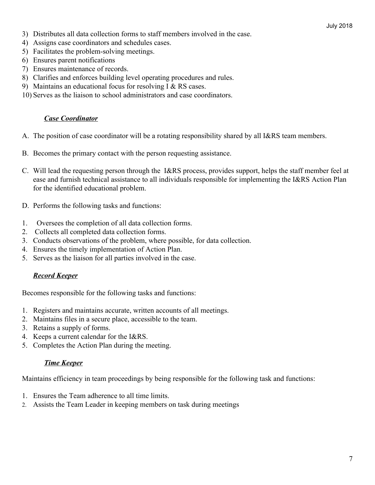- 3) Distributes all data collection forms to staff members involved in the case.
- 4) Assigns case coordinators and schedules cases.
- 5) Facilitates the problem-solving meetings.
- 6) Ensures parent notifications
- 7) Ensures maintenance of records.
- 8) Clarifies and enforces building level operating procedures and rules.
- 9) Maintains an educational focus for resolving I & RS cases.
- 10) Serves as the liaison to school administrators and case coordinators.

#### *Case Coordinator*

- A. The position of case coordinator will be a rotating responsibility shared by all I&RS team members.
- B. Becomes the primary contact with the person requesting assistance.
- C. Will lead the requesting person through the I&RS process, provides support, helps the staff member feel at ease and furnish technical assistance to all individuals responsible for implementing the I&RS Action Plan for the identified educational problem.
- D. Performs the following tasks and functions:
- 1. Oversees the completion of all data collection forms.
- 2. Collects all completed data collection forms.
- 3. Conducts observations of the problem, where possible, for data collection.
- 4. Ensures the timely implementation of Action Plan.
- 5. Serves as the liaison for all parties involved in the case.

#### *Record Keeper*

Becomes responsible for the following tasks and functions:

- 1. Registers and maintains accurate, written accounts of all meetings.
- 2. Maintains files in a secure place, accessible to the team.
- 3. Retains a supply of forms.
- 4. Keeps a current calendar for the I&RS.
- 5. Completes the Action Plan during the meeting.

#### *Time Keeper*

Maintains efficiency in team proceedings by being responsible for the following task and functions:

- 1. Ensures the Team adherence to all time limits.
- 2. Assists the Team Leader in keeping members on task during meetings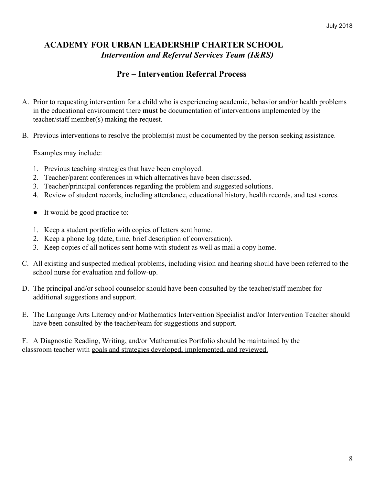### **ACADEMY FOR URBAN LEADERSHIP CHARTER SCHOOL** *Intervention and Referral Services Team (I&RS)*

### **Pre – Intervention Referral Process**

- A. Prior to requesting intervention for a child who is experiencing academic, behavior and/or health problems in the educational environment there **mus**t be documentation of interventions implemented by the teacher/staff member(s) making the request.
- B. Previous interventions to resolve the problem(s) must be documented by the person seeking assistance.

Examples may include:

- 1. Previous teaching strategies that have been employed.
- 2. Teacher/parent conferences in which alternatives have been discussed.
- 3. Teacher/principal conferences regarding the problem and suggested solutions.
- 4. Review of student records, including attendance, educational history, health records, and test scores.
- It would be good practice to:
- 1. Keep a student portfolio with copies of letters sent home.
- 2. Keep a phone log (date, time, brief description of conversation).
- 3. Keep copies of all notices sent home with student as well as mail a copy home.
- C. All existing and suspected medical problems, including vision and hearing should have been referred to the school nurse for evaluation and follow-up.
- D. The principal and/or school counselor should have been consulted by the teacher/staff member for additional suggestions and support.
- E. The Language Arts Literacy and/or Mathematics Intervention Specialist and/or Intervention Teacher should have been consulted by the teacher/team for suggestions and support.

F. A Diagnostic Reading, Writing, and/or Mathematics Portfolio should be maintained by the classroom teacher with goals and strategies developed, implemented, and reviewed.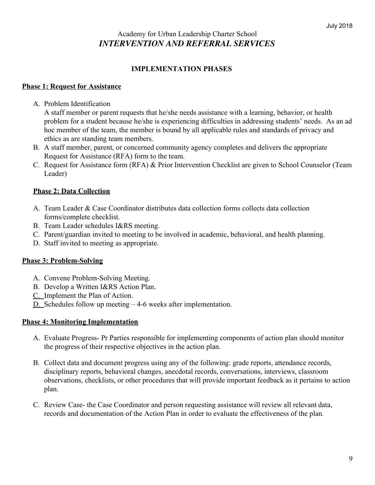### Academy for Urban Leadership Charter School *INTERVENTION AND REFERRAL SERVICES*

#### **IMPLEMENTATION PHASES**

#### **Phase 1: Request for Assistance**

A. Problem Identification

A staff member or parent requests that he/she needs assistance with a learning, behavior, or health problem for a student because he/she is experiencing difficulties in addressing students' needs. As an ad hoc member of the team, the member is bound by all applicable rules and standards of privacy and ethics as are standing team members.

- B. A staff member, parent, or concerned community agency completes and delivers the appropriate Request for Assistance (RFA) form to the team.
- C. Request for Assistance form (RFA) & Prior Intervention Checklist are given to School Counselor (Team Leader)

#### **Phase 2: Data Collection**

- A. Team Leader & Case Coordinator distributes data collection forms collects data collection forms/complete checklist.
- B. Team Leader schedules I&RS meeting.
- C. Parent/guardian invited to meeting to be involved in academic, behavioral, and health planning.
- D. Staff invited to meeting as appropriate.

#### **Phase 3: Problem-Solving**

- A. Convene Problem-Solving Meeting.
- B. Develop a Written I&RS Action Plan.
- C. Implement the Plan of Action.
- D. Schedules follow up meeting 4-6 weeks after implementation.

#### **Phase 4: Monitoring Implementation**

- A. Evaluate Progress- Pr Parties responsible for implementing components of action plan should monitor the progress of their respective objectives in the action plan.
- B. Collect data and document progress using any of the following: grade reports, attendance records, disciplinary reports, behavioral changes, anecdotal records, conversations, interviews, classroom observations, checklists, or other procedures that will provide important feedback as it pertains to action plan.
- C. Review Case- the Case Coordinator and person requesting assistance will review all relevant data, records and documentation of the Action Plan in order to evaluate the effectiveness of the plan.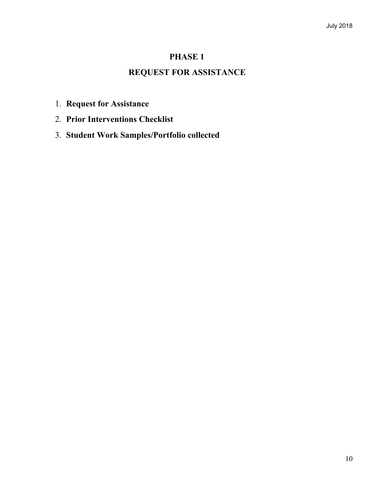### **PHASE 1**

### **REQUEST FOR ASSISTANCE**

- 1. **Request for Assistance**
- 2. **Prior Interventions Checklist**
- 3. **Student Work Samples/Portfolio collected**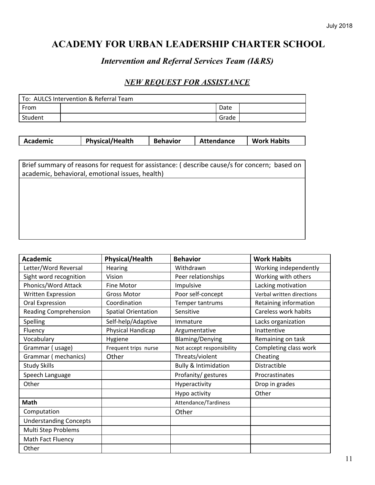### *Intervention and Referral Services Team (I&RS)*

### *NEW REQUEST FOR ASSISTANCE*

| To: AULCS Intervention & Referral Team |  |       |  |
|----------------------------------------|--|-------|--|
| From                                   |  | Date  |  |
| Student                                |  | Grade |  |

| <b>Physical/Health</b><br><b>Behavior</b><br><b>Academic</b><br><b>Attendance</b><br><b>Work Habits</b> |  |
|---------------------------------------------------------------------------------------------------------|--|
|---------------------------------------------------------------------------------------------------------|--|

Brief summary of reasons for request for assistance: ( describe cause/s for concern; based on academic, behavioral, emotional issues, health)

| <b>Academic</b>               | <b>Physical/Health</b>     | <b>Behavior</b>                 | <b>Work Habits</b>        |
|-------------------------------|----------------------------|---------------------------------|---------------------------|
| Letter/Word Reversal          | <b>Hearing</b>             | Withdrawn                       | Working independently     |
| Sight word recognition        | Vision                     | Peer relationships              | Working with others       |
| Phonics/Word Attack           | Fine Motor                 | Impulsive                       | Lacking motivation        |
| Written Expression            | <b>Gross Motor</b>         | Poor self-concept               | Verbal written directions |
| <b>Oral Expression</b>        | Coordination               | Temper tantrums                 | Retaining information     |
| <b>Reading Comprehension</b>  | <b>Spatial Orientation</b> | Sensitive                       | Careless work habits      |
| Spelling                      | Self-help/Adaptive         | Immature                        | Lacks organization        |
| Fluency                       | Physical Handicap          | Argumentative                   | Inattentive               |
| Vocabulary                    | Hygiene                    | <b>Blaming/Denying</b>          | Remaining on task         |
| Grammar (usage)               | Frequent trips nurse       | Not accept responsibility       | Completing class work     |
| Grammar (mechanics)           | Other                      | Threats/violent                 | Cheating                  |
| <b>Study Skills</b>           |                            | <b>Bully &amp; Intimidation</b> | Distractible              |
| Speech Language               |                            | Profanity/ gestures             | Procrastinates            |
| Other                         |                            | Hyperactivity                   | Drop in grades            |
|                               |                            | Hypo activity                   | Other                     |
| <b>Math</b>                   |                            | Attendance/Tardiness            |                           |
| Computation                   |                            | Other                           |                           |
| <b>Understanding Concepts</b> |                            |                                 |                           |
| Multi Step Problems           |                            |                                 |                           |
| Math Fact Fluency             |                            |                                 |                           |
| Other                         |                            |                                 |                           |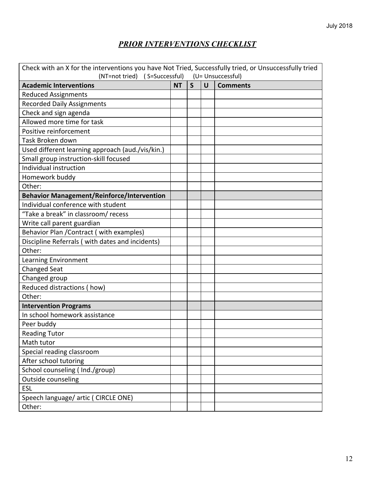### *PRIOR INTERVENTIONS CHECKLIST*

| Check with an X for the interventions you have Not Tried, Successfully tried, or Unsuccessfully tried |           |   |        |                 |
|-------------------------------------------------------------------------------------------------------|-----------|---|--------|-----------------|
| (NT=not tried) (S=Successful) (U= Unsuccessful)                                                       |           |   |        |                 |
| <b>Academic Interventions</b>                                                                         | <b>NT</b> | S | $\cup$ | <b>Comments</b> |
| <b>Reduced Assignments</b>                                                                            |           |   |        |                 |
| <b>Recorded Daily Assignments</b>                                                                     |           |   |        |                 |
| Check and sign agenda                                                                                 |           |   |        |                 |
| Allowed more time for task                                                                            |           |   |        |                 |
| Positive reinforcement                                                                                |           |   |        |                 |
| Task Broken down                                                                                      |           |   |        |                 |
| Used different learning approach (aud./vis/kin.)                                                      |           |   |        |                 |
| Small group instruction-skill focused                                                                 |           |   |        |                 |
| Individual instruction                                                                                |           |   |        |                 |
| Homework buddy                                                                                        |           |   |        |                 |
| Other:                                                                                                |           |   |        |                 |
| <b>Behavior Management/Reinforce/Intervention</b>                                                     |           |   |        |                 |
| Individual conference with student                                                                    |           |   |        |                 |
| "Take a break" in classroom/ recess                                                                   |           |   |        |                 |
| Write call parent guardian                                                                            |           |   |        |                 |
| Behavior Plan / Contract (with examples)                                                              |           |   |        |                 |
| Discipline Referrals (with dates and incidents)                                                       |           |   |        |                 |
| Other:                                                                                                |           |   |        |                 |
| Learning Environment                                                                                  |           |   |        |                 |
| <b>Changed Seat</b>                                                                                   |           |   |        |                 |
| Changed group                                                                                         |           |   |        |                 |
| Reduced distractions (how)                                                                            |           |   |        |                 |
| Other:                                                                                                |           |   |        |                 |
| <b>Intervention Programs</b>                                                                          |           |   |        |                 |
| In school homework assistance                                                                         |           |   |        |                 |
| Peer buddy                                                                                            |           |   |        |                 |
| <b>Reading Tutor</b>                                                                                  |           |   |        |                 |
| Math tutor                                                                                            |           |   |        |                 |
| Special reading classroom                                                                             |           |   |        |                 |
| After school tutoring                                                                                 |           |   |        |                 |
| School counseling (Ind./group)                                                                        |           |   |        |                 |
| Outside counseling                                                                                    |           |   |        |                 |
| <b>ESL</b>                                                                                            |           |   |        |                 |
| Speech language/ artic ( CIRCLE ONE)                                                                  |           |   |        |                 |
| Other:                                                                                                |           |   |        |                 |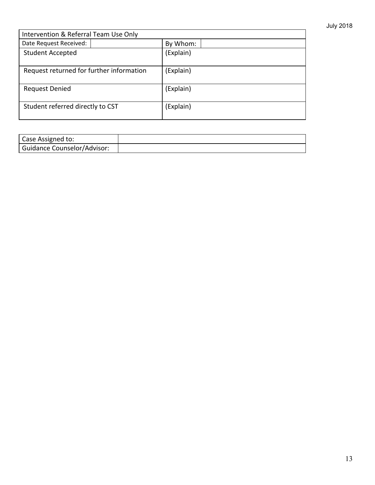| Intervention & Referral Team Use Only    |           |  |
|------------------------------------------|-----------|--|
| Date Request Received:                   | By Whom:  |  |
| <b>Student Accepted</b>                  | (Explain) |  |
| Request returned for further information | (Explain) |  |
| <b>Request Denied</b>                    | (Explain) |  |
| Student referred directly to CST         | (Explain) |  |

| Case Assigned to:           |  |
|-----------------------------|--|
| Guidance Counselor/Advisor: |  |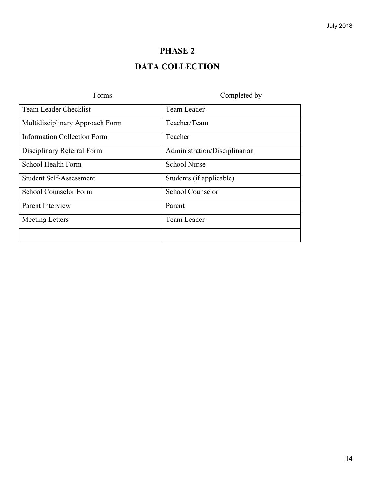### **PHASE 2**

### **DATA COLLECTION**

| Forms                              | Completed by                  |
|------------------------------------|-------------------------------|
| Team Leader Checklist              | Team Leader                   |
| Multidisciplinary Approach Form    | Teacher/Team                  |
| <b>Information Collection Form</b> | Teacher                       |
| Disciplinary Referral Form         | Administration/Disciplinarian |
| School Health Form                 | <b>School Nurse</b>           |
| <b>Student Self-Assessment</b>     | Students (if applicable)      |
| School Counselor Form              | School Counselor              |
| <b>Parent Interview</b>            | Parent                        |
| <b>Meeting Letters</b>             | Team Leader                   |
|                                    |                               |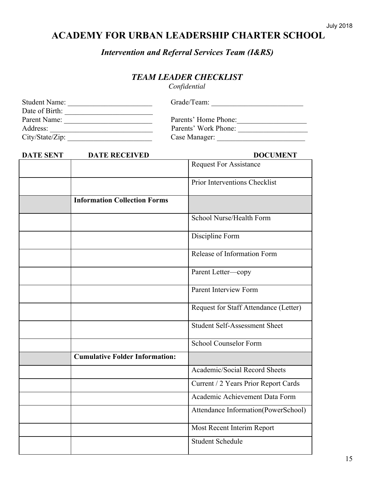*Intervention and Referral Services Team (I&RS)*

### *TEAM LEADER CHECKLIST*

*Confidential*

| <b>Student Name:</b> | Grade/Team:          |
|----------------------|----------------------|
| Date of Birth:       |                      |
| Parent Name:         | Parents' Home Phone: |
| Address:             | Parents' Work Phone: |
| $City/State/Zip$ :   | Case Manager:        |

| <b>DATE SENT</b> | <b>DATE RECEIVED</b>                  | <b>DOCUMENT</b>                       |
|------------------|---------------------------------------|---------------------------------------|
|                  |                                       | <b>Request For Assistance</b>         |
|                  |                                       | Prior Interventions Checklist         |
|                  | <b>Information Collection Forms</b>   |                                       |
|                  |                                       | School Nurse/Health Form              |
|                  |                                       | Discipline Form                       |
|                  |                                       | Release of Information Form           |
|                  |                                       | Parent Letter-copy                    |
|                  |                                       | <b>Parent Interview Form</b>          |
|                  |                                       | Request for Staff Attendance (Letter) |
|                  |                                       | <b>Student Self-Assessment Sheet</b>  |
|                  |                                       | <b>School Counselor Form</b>          |
|                  | <b>Cumulative Folder Information:</b> |                                       |
|                  |                                       | Academic/Social Record Sheets         |
|                  |                                       | Current / 2 Years Prior Report Cards  |
|                  |                                       | Academic Achievement Data Form        |
|                  |                                       | Attendance Information(PowerSchool)   |
|                  |                                       | Most Recent Interim Report            |
|                  |                                       | <b>Student Schedule</b>               |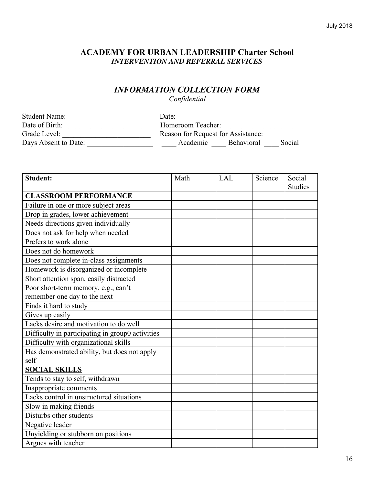### **ACADEMY FOR URBAN LEADERSHIP Charter School** *INTERVENTION AND REFERRAL SERVICES*

### *INFORMATION COLLECTION FORM*

*Confidential*

| <b>Student Name:</b> | Date:                                   |
|----------------------|-----------------------------------------|
| Date of Birth:       | Homeroom Teacher:                       |
| Grade Level:         | Reason for Request for Assistance:      |
| Days Absent to Date: | <b>Behavioral</b><br>Academic<br>Social |

| <b>Student:</b>                                  | Math | <b>LAL</b> | Science | Social         |
|--------------------------------------------------|------|------------|---------|----------------|
|                                                  |      |            |         | <b>Studies</b> |
| <b>CLASSROOM PERFORMANCE</b>                     |      |            |         |                |
| Failure in one or more subject areas             |      |            |         |                |
| Drop in grades, lower achievement                |      |            |         |                |
| Needs directions given individually              |      |            |         |                |
| Does not ask for help when needed                |      |            |         |                |
| Prefers to work alone                            |      |            |         |                |
| Does not do homework                             |      |            |         |                |
| Does not complete in-class assignments           |      |            |         |                |
| Homework is disorganized or incomplete           |      |            |         |                |
| Short attention span, easily distracted          |      |            |         |                |
| Poor short-term memory, e.g., can't              |      |            |         |                |
| remember one day to the next                     |      |            |         |                |
| Finds it hard to study                           |      |            |         |                |
| Gives up easily                                  |      |            |         |                |
| Lacks desire and motivation to do well           |      |            |         |                |
| Difficulty in participating in group0 activities |      |            |         |                |
| Difficulty with organizational skills            |      |            |         |                |
| Has demonstrated ability, but does not apply     |      |            |         |                |
| self                                             |      |            |         |                |
| <b>SOCIAL SKILLS</b>                             |      |            |         |                |
| Tends to stay to self, withdrawn                 |      |            |         |                |
| Inappropriate comments                           |      |            |         |                |
| Lacks control in unstructured situations         |      |            |         |                |
| Slow in making friends                           |      |            |         |                |
| Disturbs other students                          |      |            |         |                |
| Negative leader                                  |      |            |         |                |
| Unyielding or stubborn on positions              |      |            |         |                |
| Argues with teacher                              |      |            |         |                |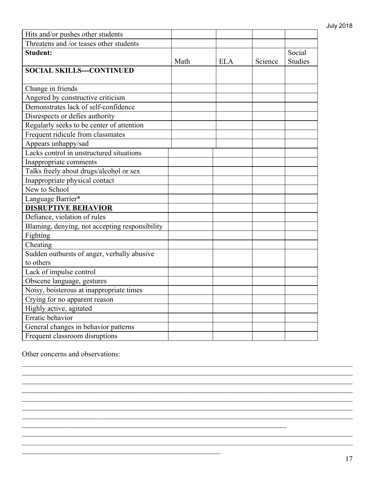| Hits and/or pushes other students              |      |            |         |                |
|------------------------------------------------|------|------------|---------|----------------|
| Threatens and /or teases other students        |      |            |         |                |
| <b>Student:</b>                                |      |            |         | Social         |
|                                                | Math | <b>ELA</b> | Science | <b>Studies</b> |
| <b>SOCIAL SKILLS---CONTINUED</b>               |      |            |         |                |
|                                                |      |            |         |                |
| Change in friends                              |      |            |         |                |
| Angered by constructive criticism              |      |            |         |                |
| Demonstrates lack of self-confidence           |      |            |         |                |
| Disrespects or defies authority                |      |            |         |                |
| Regularly seeks to be center of attention      |      |            |         |                |
| Frequent ridicule from classmates              |      |            |         |                |
| Appears unhappy/sad                            |      |            |         |                |
| Lacks control in unstructured situations       |      |            |         |                |
| Inappropriate comments                         |      |            |         |                |
| Talks freely about drugs/alcohol or sex        |      |            |         |                |
| Inappropriate physical contact                 |      |            |         |                |
| New to School                                  |      |            |         |                |
| Language Barrier*                              |      |            |         |                |
| <b>DISRUPTIVE BEHAVIOR</b>                     |      |            |         |                |
| Defiance, violation of rules                   |      |            |         |                |
| Blaming, denying, not accepting responsibility |      |            |         |                |
| Fighting                                       |      |            |         |                |
| Cheating                                       |      |            |         |                |
| Sudden outbursts of anger, verbally abusive    |      |            |         |                |
| to others                                      |      |            |         |                |
| Lack of impulse control                        |      |            |         |                |
| Obscene language, gestures                     |      |            |         |                |
| Noisy, boisterous at inappropriate times       |      |            |         |                |
| Crying for no apparent reason                  |      |            |         |                |
| Highly active, agitated                        |      |            |         |                |
| Erratic behavior                               |      |            |         |                |
| General changes in behavior patterns           |      |            |         |                |
| Frequent classroom disruptions                 |      |            |         |                |

 $\_$  , and the contribution of the contribution of the contribution of the contribution of the contribution of  $\mathcal{L}_\text{max}$  $\_$  , and the contribution of the contribution of the contribution of the contribution of the contribution of  $\mathcal{L}_\text{max}$  $\_$  , and the contribution of the contribution of the contribution of the contribution of the contribution of  $\mathcal{L}_\text{max}$  $\_$  , and the contribution of the contribution of the contribution of the contribution of the contribution of  $\mathcal{L}_\text{max}$  $\_$  , and the contribution of the contribution of the contribution of the contribution of the contribution of  $\mathcal{L}_\text{max}$  $\_$  , and the contribution of the contribution of the contribution of the contribution of the contribution of  $\mathcal{L}_\text{max}$  $\_$  , and the contribution of the contribution of the contribution of the contribution of the contribution of  $\mathcal{L}_\text{max}$ 

 $\_$  , and the contribution of the contribution of the contribution of the contribution of the contribution of  $\mathcal{L}_\text{max}$  $\_$  , and the contribution of the contribution of the contribution of the contribution of the contribution of  $\mathcal{L}_\text{max}$ 

 $\mathcal{L}_\text{max}$  , and the contribution of the contribution of the contribution of the contribution of the contribution of the contribution of the contribution of the contribution of the contribution of the contribution of t

 $\mathcal{L}_\text{max}$  , and the contract of the contract of the contract of the contract of the contract of the contract of

Other concerns and observations: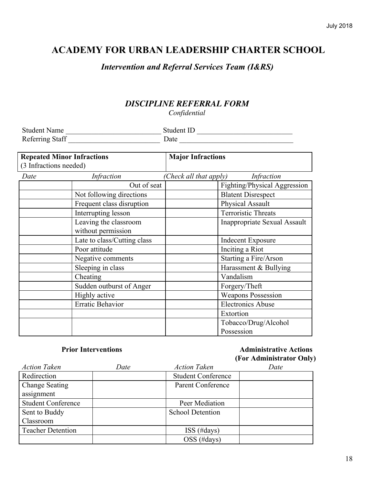### *Intervention and Referral Services Team (I&RS)*

### *DISCIPLINE REFERRAL FORM*

*Confidential*

| <b>Student Name</b> | Student ID |
|---------------------|------------|
| Referring Staff     | Date       |

|                        | <b>Repeated Minor Infractions</b><br><b>Major Infractions</b> |                        |                                     |
|------------------------|---------------------------------------------------------------|------------------------|-------------------------------------|
| (3 Infractions needed) |                                                               |                        |                                     |
| Date                   | <i>Infraction</i>                                             | (Check all that apply) | <i>Infraction</i>                   |
|                        | Out of seat                                                   |                        | Fighting/Physical Aggression        |
|                        | Not following directions                                      |                        | <b>Blatent Disrespect</b>           |
|                        | Frequent class disruption                                     |                        | Physical Assault                    |
|                        | Interrupting lesson                                           |                        | <b>Terroristic Threats</b>          |
|                        | Leaving the classroom                                         |                        | <b>Inappropriate Sexual Assault</b> |
|                        | without permission                                            |                        |                                     |
|                        | Late to class/Cutting class                                   |                        | <b>Indecent Exposure</b>            |
|                        | Poor attitude                                                 |                        | Inciting a Riot                     |
|                        | Negative comments                                             |                        | Starting a Fire/Arson               |
|                        | Sleeping in class                                             |                        | Harassment & Bullying               |
|                        | Cheating                                                      |                        | Vandalism                           |
|                        | Sudden outburst of Anger                                      |                        | Forgery/Theft                       |
|                        | Highly active                                                 |                        | <b>Weapons Possession</b>           |
|                        | Erratic Behavior                                              |                        | <b>Electronics Abuse</b>            |
|                        |                                                               |                        | Extortion                           |
|                        |                                                               |                        | Tobacco/Drug/Alcohol                |
|                        |                                                               |                        | Possession                          |

### **Prior Interventions Administrative Actions (For Administrator Only)**

| <b>Action Taken</b>       | Date | <b>Action Taken</b>       | Date |
|---------------------------|------|---------------------------|------|
| Redirection               |      | <b>Student Conference</b> |      |
| <b>Change Seating</b>     |      | Parent Conference         |      |
| assignment                |      |                           |      |
| <b>Student Conference</b> |      | Peer Mediation            |      |
| Sent to Buddy             |      | <b>School Detention</b>   |      |
| Classroom                 |      |                           |      |
| <b>Teacher Detention</b>  |      | $ISS$ (#days)             |      |
|                           |      | OSS (#days)               |      |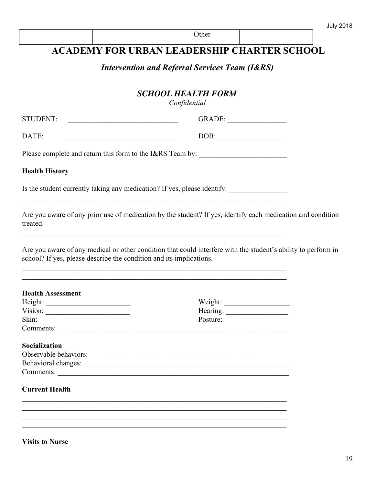*Intervention and Referral Services Team (I&RS)*

### *SCHOOL HEALTH FORM*

*Confidential*

| <b>STUDENT:</b> | $\mathsf{Y}$ ADE: |  |
|-----------------|-------------------|--|
|                 |                   |  |

 $\mathcal{L}_\text{max}$  , and the contribution of the contribution of the contribution of the contribution of the contribution of the contribution of the contribution of the contribution of the contribution of the contribution of t

 $\mathcal{L}_\text{max}$  , and the contribution of the contribution of the contribution of the contribution of the contribution of the contribution of the contribution of the contribution of the contribution of the contribution of t  $\mathcal{L}_\text{max}$  , and the contribution of the contribution of the contribution of the contribution of the contribution of the contribution of the contribution of the contribution of the contribution of the contribution of t

Please complete and return this form to the I&RS Team by:

#### **Health History**

Is the student currently taking any medication? If yes, please identify. \_\_\_\_\_\_\_\_\_\_\_\_\_\_\_\_

Are you aware of any prior use of medication by the student? If yes, identify each medication and condition treated. \_\_\_\_\_\_\_\_\_\_\_\_\_\_\_\_\_\_\_\_\_\_\_\_\_\_\_\_\_\_\_\_\_\_\_\_\_\_\_\_\_\_\_\_\_\_\_\_\_\_\_\_\_\_

Are you aware of any medical or other condition that could interfere with the student's ability to perform in school? If yes, please describe the condition and its implications.

| Weight:  |
|----------|
|          |
|          |
| Posture: |
|          |
|          |
|          |
|          |
|          |
|          |
|          |

**\_\_\_\_\_\_\_\_\_\_\_\_\_\_\_\_\_\_\_\_\_\_\_\_\_\_\_\_\_\_\_\_\_\_\_\_\_\_\_\_\_\_\_\_\_\_\_\_\_\_\_\_\_\_\_\_\_\_\_\_\_\_\_\_\_\_\_\_\_\_\_\_ \_\_\_\_\_\_\_\_\_\_\_\_\_\_\_\_\_\_\_\_\_\_\_\_\_\_\_\_\_\_\_\_\_\_\_\_\_\_\_\_\_\_\_\_\_\_\_\_\_\_\_\_\_\_\_\_\_\_\_\_\_\_\_\_\_\_\_\_\_\_\_\_ \_\_\_\_\_\_\_\_\_\_\_\_\_\_\_\_\_\_\_\_\_\_\_\_\_\_\_\_\_\_\_\_\_\_\_\_\_\_\_\_\_\_\_\_\_\_\_\_\_\_\_\_\_\_\_\_\_\_\_\_\_\_\_\_\_\_\_\_\_\_\_\_ \_\_\_\_\_\_\_\_\_\_\_\_\_\_\_\_\_\_\_\_\_\_\_\_\_\_\_\_\_\_\_\_\_\_\_\_\_\_\_\_\_\_\_\_\_\_\_\_\_\_\_\_\_\_\_\_\_\_\_\_\_\_\_\_\_\_\_\_\_\_\_\_**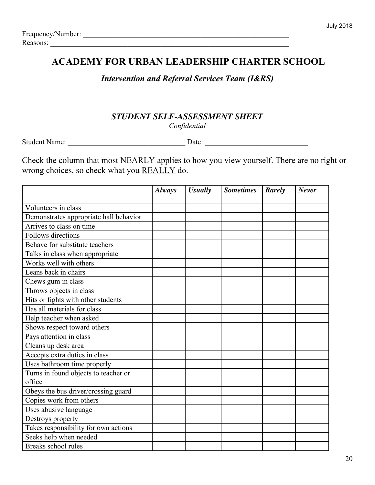### *Intervention and Referral Services Team (I&RS)*

### *STUDENT SELF-ASSESSMENT SHEET*

*Confidential*

Student Name: \_\_\_\_\_\_\_\_\_\_\_\_\_\_\_\_\_\_\_\_\_\_\_\_\_\_\_\_\_\_\_\_ Date: \_\_\_\_\_\_\_\_\_\_\_\_\_\_\_\_\_\_\_\_\_\_\_\_\_\_\_\_

Check the column that most NEARLY applies to how you view yourself. There are no right or wrong choices, so check what you REALLY do.

|                                        | <b>Always</b> | <b>Usually</b> | <b>Sometimes</b> | Rarely | <b>Never</b> |
|----------------------------------------|---------------|----------------|------------------|--------|--------------|
| Volunteers in class                    |               |                |                  |        |              |
| Demonstrates appropriate hall behavior |               |                |                  |        |              |
| Arrives to class on time               |               |                |                  |        |              |
| Follows directions                     |               |                |                  |        |              |
| Behave for substitute teachers         |               |                |                  |        |              |
| Talks in class when appropriate        |               |                |                  |        |              |
| Works well with others                 |               |                |                  |        |              |
| Leans back in chairs                   |               |                |                  |        |              |
| Chews gum in class                     |               |                |                  |        |              |
| Throws objects in class                |               |                |                  |        |              |
| Hits or fights with other students     |               |                |                  |        |              |
| Has all materials for class            |               |                |                  |        |              |
| Help teacher when asked                |               |                |                  |        |              |
| Shows respect toward others            |               |                |                  |        |              |
| Pays attention in class                |               |                |                  |        |              |
| Cleans up desk area                    |               |                |                  |        |              |
| Accepts extra duties in class          |               |                |                  |        |              |
| Uses bathroom time properly            |               |                |                  |        |              |
| Turns in found objects to teacher or   |               |                |                  |        |              |
| office                                 |               |                |                  |        |              |
| Obeys the bus driver/crossing guard    |               |                |                  |        |              |
| Copies work from others                |               |                |                  |        |              |
| Uses abusive language                  |               |                |                  |        |              |
| Destroys property                      |               |                |                  |        |              |
| Takes responsibility for own actions   |               |                |                  |        |              |
| Seeks help when needed                 |               |                |                  |        |              |
| Breaks school rules                    |               |                |                  |        |              |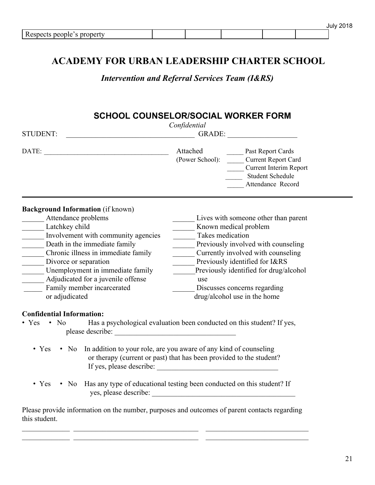|                                                 |  |  | 77<br>li ilv ÷ |
|-------------------------------------------------|--|--|----------------|
| <sup>n</sup><br>, proper<br><b>RGS</b><br>nemie |  |  |                |

*Intervention and Referral Services Team (I&RS)*

### **SCHOOL COUNSELOR/SOCIAL WORKER FORM**

| <b>STUDENT:</b><br>GRADE:                                                                                                                                                                                                                                                                                                                                                                                                                                                    | Confidential                                     |                                                                                                                                                                                                                                                               |
|------------------------------------------------------------------------------------------------------------------------------------------------------------------------------------------------------------------------------------------------------------------------------------------------------------------------------------------------------------------------------------------------------------------------------------------------------------------------------|--------------------------------------------------|---------------------------------------------------------------------------------------------------------------------------------------------------------------------------------------------------------------------------------------------------------------|
|                                                                                                                                                                                                                                                                                                                                                                                                                                                                              | Attached<br>(Power School):                      | <b>Past Report Cards</b><br><b>Current Report Card</b><br><b>Current Interim Report</b><br>Student Schedule<br>Attendance Record                                                                                                                              |
| <b>Background Information</b> (if known)<br>Attendance problems<br>Latchkey child<br>$\frac{1}{2}$ Involvement with community agencies<br>Death in the immediate family<br>Chronic illness in immediate family<br>Divorce or separation<br>Unemployment in immediate family<br>Adjudicated for a juvenile offense<br>Family member incarcerated<br>or adjudicated<br><b>Confidential Information:</b>                                                                        | Known medical problem<br>Takes medication<br>use | Lives with someone other than parent<br>Previously involved with counseling<br>Currently involved with counseling<br>Previously identified for I&RS<br>Previously identified for drug/alcohol<br>Discusses concerns regarding<br>drug/alcohol use in the home |
| $\bullet$ Yes $\bullet$ No<br>Has a psychological evaluation been conducted on this student? If yes,<br>$\bullet$ Yes<br>• No In addition to your role, are you aware of any kind of counseling<br>or therapy (current or past) that has been provided to the student?<br>• Yes • No Has any type of educational testing been conducted on this student? If<br>Please provide information on the number, purposes and outcomes of parent contacts regarding<br>this student. |                                                  |                                                                                                                                                                                                                                                               |

 $\_$  , and the contribution of the contribution of  $\mathcal{L}_\mathcal{A}$  , and the contribution of  $\mathcal{L}_\mathcal{A}$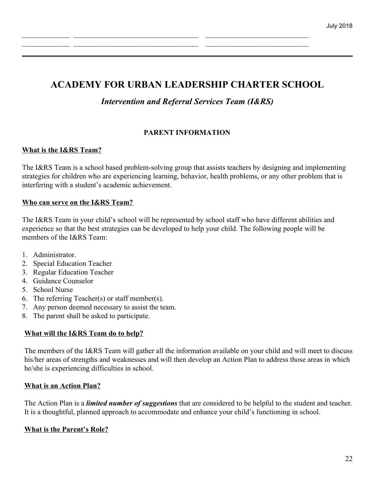$\_$  , and the contribution of the contribution of  $\mathcal{L}_\mathcal{A}$  , and the contribution of  $\mathcal{L}_\mathcal{A}$  $\_$  , and the contribution of the contribution of  $\mathcal{L}_\mathcal{A}$  , and the contribution of  $\mathcal{L}_\mathcal{A}$ 

*Intervention and Referral Services Team (I&RS)*

#### **PARENT INFORMATION**

#### **What is the I&RS Team?**

The I&RS Team is a school based problem-solving group that assists teachers by designing and implementing strategies for children who are experiencing learning, behavior, health problems, or any other problem that is interfering with a student's academic achievement.

#### **Who can serve on the I&RS Team?**

The I&RS Team in your child's school will be represented by school staff who have different abilities and experience so that the best strategies can be developed to help your child. The following people will be members of the I&RS Team:

- 1. Administrator.
- 2. Special Education Teacher
- 3. Regular Education Teacher
- 4. Guidance Counselor
- 5. School Nurse
- 6. The referring Teacher(s) or staff member(s).
- 7. Any person deemed necessary to assist the team.
- 8. The parent shall be asked to participate.

#### **What will the I&RS Team do to help?**

The members of the I&RS Team will gather all the information available on your child and will meet to discuss his/her areas of strengths and weaknesses and will then develop an Action Plan to address those areas in which he/she is experiencing difficulties in school.

#### **What is an Action Plan?**

The Action Plan is a *limited number of suggestions* that are considered to be helpful to the student and teacher. It is a thoughtful, planned approach to accommodate and enhance your child's functioning in school.

#### **What is the Parent's Role?**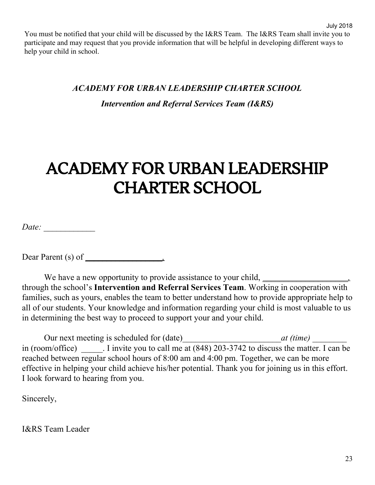You must be notified that your child will be discussed by the I&RS Team. The I&RS Team shall invite you to participate and may request that you provide information that will be helpful in developing different ways to help your child in school.

#### *ACADEMY FOR URBAN LEADERSHIP CHARTER SCHOOL*

*Intervention and Referral Services Team (I&RS)*

## ACADEMY FOR URBAN LEADERSHIP CHARTER SCHOOL

*Date: \_\_\_\_\_\_\_\_\_\_\_\_*

Dear Parent (s) of *\_\_\_\_\_\_\_\_\_\_\_\_\_\_\_\_\_\_,*

We have a new opportunity to provide assistance to your child, *\_\_\_\_\_\_\_\_\_\_\_\_\_\_\_* through the school's **Intervention and Referral Services Team**. Working in cooperation with families, such as yours, enables the team to better understand how to provide appropriate help to all of our students. Your knowledge and information regarding your child is most valuable to us in determining the best way to proceed to support your and your child.

Our next meeting is scheduled for (date)*\_\_\_\_\_\_\_\_\_\_\_\_\_\_\_\_\_\_\_\_\_\_\_at (time) \_\_\_\_\_\_\_\_* in (room/office) I invite you to call me at (848) 203-3742 to discuss the matter. I can be reached between regular school hours of 8:00 am and 4:00 pm. Together, we can be more effective in helping your child achieve his/her potential. Thank you for joining us in this effort. I look forward to hearing from you.

Sincerely,

I&RS Team Leader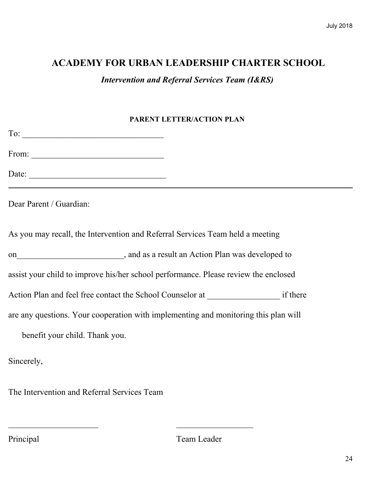*Intervention and Referral Services Team (I&RS)*

### **PARENT LETTER/ACTION PLAN**

| From: $\qquad \qquad$                                                               |  |
|-------------------------------------------------------------------------------------|--|
|                                                                                     |  |
| Dear Parent / Guardian:                                                             |  |
| As you may recall, the Intervention and Referral Services Team held a meeting       |  |
| on<br>metric and as a result an Action Plan was developed to                        |  |
| assist your child to improve his/her school performance. Please review the enclosed |  |
|                                                                                     |  |
| are any questions. Your cooperation with implementing and monitoring this plan will |  |
| benefit your child. Thank you.                                                      |  |
| Sincerely,                                                                          |  |

The Intervention and Referral Services Team

 $\overline{\phantom{a}}$  , and the contract of the contract of the contract of the contract of the contract of the contract of the contract of the contract of the contract of the contract of the contract of the contract of the contrac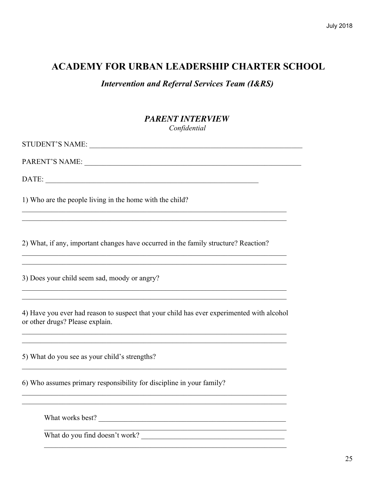**Intervention and Referral Services Team (I&RS)** 

### **PARENT INTERVIEW** Confidential

| STUDENT'S NAME:                                                                                                                                                                                                                                       |
|-------------------------------------------------------------------------------------------------------------------------------------------------------------------------------------------------------------------------------------------------------|
|                                                                                                                                                                                                                                                       |
| DATE:                                                                                                                                                                                                                                                 |
| 1) Who are the people living in the home with the child?                                                                                                                                                                                              |
|                                                                                                                                                                                                                                                       |
| 2) What, if any, important changes have occurred in the family structure? Reaction?<br>,我们也不能在这里的人,我们也不能在这里的人,我们也不能在这里的人,我们也不能在这里的人,我们也不能在这里的人,我们也不能在这里的人,我们也不能在这里的人,我们也                                                                              |
| 3) Does your child seem sad, moody or angry?<br>,我们也不能在这里的人,我们也不能在这里的人,我们也不能在这里的人,我们也不能在这里的人,我们也不能在这里的人,我们也不能在这里的人,我们也不能在这里的人,我们也                                                                                                                     |
| 4) Have you ever had reason to suspect that your child has ever experimented with alcohol<br>or other drugs? Please explain.<br><u> 1989 - Johann Stoff, deutscher Stoff, der Stoff, der Stoff, der Stoff, der Stoff, der Stoff, der Stoff, der S</u> |
| 5) What do you see as your child's strengths?                                                                                                                                                                                                         |
| 6) Who assumes primary responsibility for discipline in your family?                                                                                                                                                                                  |
|                                                                                                                                                                                                                                                       |

<u> 1989 - Johann John Stein, marwolaethau (b. 1989)</u>

What works best?

What do you find doesn't work?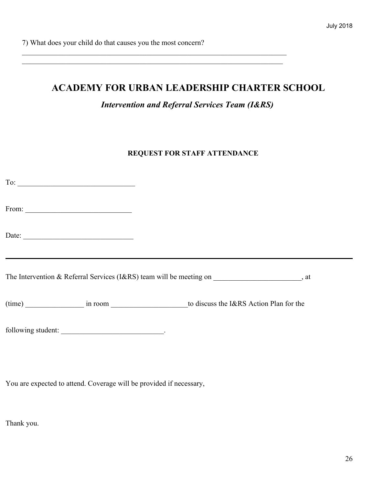7) What does your child do that causes you the most concern?

### **ACADEMY FOR URBAN LEADERSHIP CHARTER SCHOOL**

 $\mathcal{L}_\text{max}$  , and the contribution of the contribution of the contribution of the contribution of the contribution of the contribution of the contribution of the contribution of the contribution of the contribution of t  $\mathcal{L}_\text{max}$  , and the contribution of the contribution of the contribution of the contribution of the contribution of the contribution of the contribution of the contribution of the contribution of the contribution of t

*Intervention and Referral Services Team (I&RS)*

#### **REQUEST FOR STAFF ATTENDANCE**

| From: $\qquad \qquad$                                                                                                                                                                                                                                                                                                                                                                                         |                                                                                                  |
|---------------------------------------------------------------------------------------------------------------------------------------------------------------------------------------------------------------------------------------------------------------------------------------------------------------------------------------------------------------------------------------------------------------|--------------------------------------------------------------------------------------------------|
| Date: $\frac{1}{\sqrt{1-\frac{1}{2}}\sqrt{1-\frac{1}{2}}\sqrt{1-\frac{1}{2}}\sqrt{1-\frac{1}{2}}\sqrt{1-\frac{1}{2}}\sqrt{1-\frac{1}{2}}\sqrt{1-\frac{1}{2}}\sqrt{1-\frac{1}{2}}\sqrt{1-\frac{1}{2}}\sqrt{1-\frac{1}{2}}\sqrt{1-\frac{1}{2}}\sqrt{1-\frac{1}{2}}\sqrt{1-\frac{1}{2}}\sqrt{1-\frac{1}{2}}\sqrt{1-\frac{1}{2}}\sqrt{1-\frac{1}{2}}\sqrt{1-\frac{1}{2}}\sqrt{1-\frac{1}{2}}\sqrt{1-\frac{1}{2}}$ |                                                                                                  |
|                                                                                                                                                                                                                                                                                                                                                                                                               |                                                                                                  |
|                                                                                                                                                                                                                                                                                                                                                                                                               | The Intervention & Referral Services (I&RS) team will be meeting on ________________________, at |
|                                                                                                                                                                                                                                                                                                                                                                                                               | (time) in room in room to discuss the I&RS Action Plan for the                                   |
| following student:                                                                                                                                                                                                                                                                                                                                                                                            |                                                                                                  |

You are expected to attend. Coverage will be provided if necessary,

Thank you.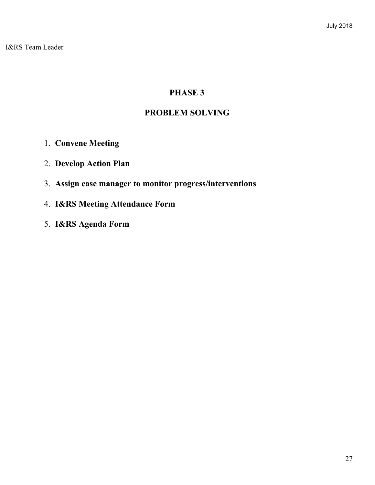I&RS Team Leader

### **PHASE 3**

### **PROBLEM SOLVING**

- 1. **Convene Meeting**
- 2. **Develop Action Plan**
- 3. **Assign case manager to monitor progress/interventions**
- 4. **I&RS Meeting Attendance Form**
- 5. **I&RS Agenda Form**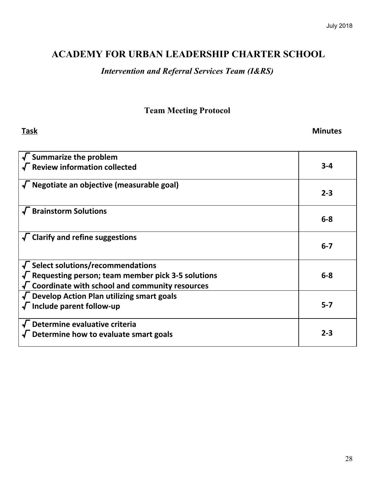### *Intervention and Referral Services Team (I&RS)*

### **Team Meeting Protocol**

**Task Minutes**

| $\sqrt{\ }$ Summarize the problem                                                                                                                                           |         |
|-----------------------------------------------------------------------------------------------------------------------------------------------------------------------------|---------|
| $\sqrt{\ }$ Review information collected                                                                                                                                    | $3 - 4$ |
| $\sqrt{\ }$ Negotiate an objective (measurable goal)                                                                                                                        | $2 - 3$ |
| $\sqrt{\phantom{a}}$ Brainstorm Solutions                                                                                                                                   | $6-8$   |
| $\sqrt{\phantom{a}}$ Clarify and refine suggestions                                                                                                                         | $6 - 7$ |
| $\sqrt{\ }$ Select solutions/recommendations<br>$\sqrt{\ }$ Requesting person; team member pick 3-5 solutions<br>$\sqrt{\ }$ Coordinate with school and community resources | $6 - 8$ |
| $\sqrt{\ }$ Develop Action Plan utilizing smart goals<br>$\sqrt{\ }$ Include parent follow-up                                                                               | $5 - 7$ |
| $\sqrt{\phantom{a}}$ Determine evaluative criteria<br>$\sqrt{\phantom{a}}$ Determine how to evaluate smart goals                                                            | $2 - 3$ |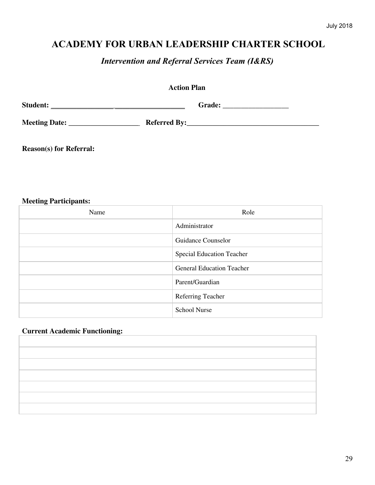*Intervention and Referral Services Team (I&RS)*

| <b>Action Plan</b>             |  |  |
|--------------------------------|--|--|
|                                |  |  |
|                                |  |  |
| <b>Reason(s)</b> for Referral: |  |  |

#### **Meeting Participants:**

| Name | Role                             |
|------|----------------------------------|
|      | Administrator                    |
|      | Guidance Counselor               |
|      | <b>Special Education Teacher</b> |
|      | <b>General Education Teacher</b> |
|      | Parent/Guardian                  |
|      | Referring Teacher                |
|      | <b>School Nurse</b>              |

#### **Current Academic Functioning:**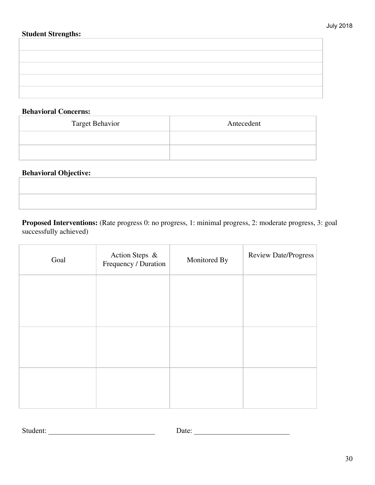#### **Student Strengths:**

#### **Behavioral Concerns:**

| <b>Target Behavior</b> | Antecedent |
|------------------------|------------|
|                        |            |
|                        |            |

#### **Behavioral Objective:**

## **Proposed Interventions:** (Rate progress 0: no progress, 1: minimal progress, 2: moderate progress, 3: goal successfully achieved)

| Goal | Action Steps &<br>Frequency / Duration | Monitored By | <b>Review Date/Progress</b> |
|------|----------------------------------------|--------------|-----------------------------|
|      |                                        |              |                             |
|      |                                        |              |                             |
|      |                                        |              |                             |
|      |                                        |              |                             |
|      |                                        |              |                             |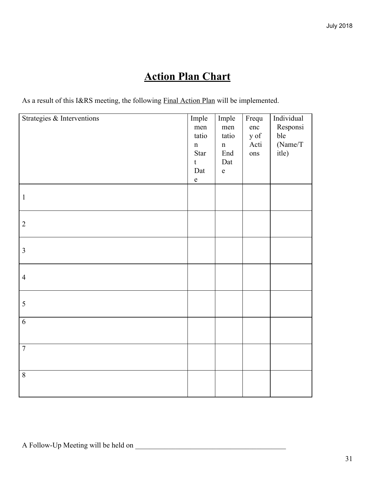## **Action Plan Chart**

As a result of this I&RS meeting, the following **Final Action Plan** will be implemented.

| Strategies & Interventions | Imple<br>men<br>tatio<br>$\mathbf n$<br>Star<br>$\mathbf t$<br>Dat<br>${\bf e}$ | Imple<br>men<br>tatio<br>$\mathbf n$<br>End<br>Dat<br>$\mathbf e$ | Frequ<br>enc<br>y of<br>Acti<br>ons | Individual<br>Responsi<br>ble<br>(Name/T)<br>itle) |
|----------------------------|---------------------------------------------------------------------------------|-------------------------------------------------------------------|-------------------------------------|----------------------------------------------------|
| $\mathbf{1}$               |                                                                                 |                                                                   |                                     |                                                    |
| $\overline{2}$             |                                                                                 |                                                                   |                                     |                                                    |
| $\mathfrak{Z}$             |                                                                                 |                                                                   |                                     |                                                    |
| $\overline{4}$             |                                                                                 |                                                                   |                                     |                                                    |
| $\sqrt{5}$                 |                                                                                 |                                                                   |                                     |                                                    |
| $\sqrt{6}$                 |                                                                                 |                                                                   |                                     |                                                    |
| $\overline{7}$             |                                                                                 |                                                                   |                                     |                                                    |
| $\overline{8}$             |                                                                                 |                                                                   |                                     |                                                    |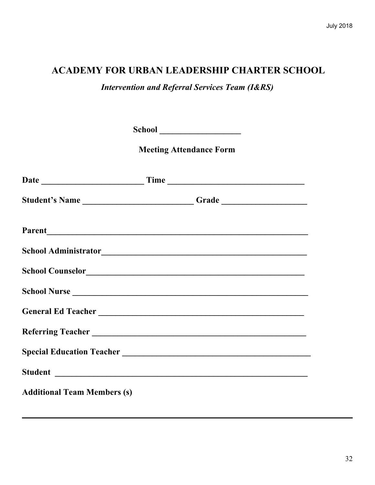*Intervention and Referral Services Team (I&RS)*

|                                                                                  | <b>Meeting Attendance Form</b> |  |
|----------------------------------------------------------------------------------|--------------------------------|--|
|                                                                                  |                                |  |
| Student's Name __________________________Grade _________________________________ |                                |  |
|                                                                                  |                                |  |
|                                                                                  |                                |  |
|                                                                                  |                                |  |
|                                                                                  |                                |  |
| General Ed Teacher                                                               |                                |  |
|                                                                                  |                                |  |
|                                                                                  |                                |  |
|                                                                                  |                                |  |
| <b>Additional Team Members (s)</b>                                               |                                |  |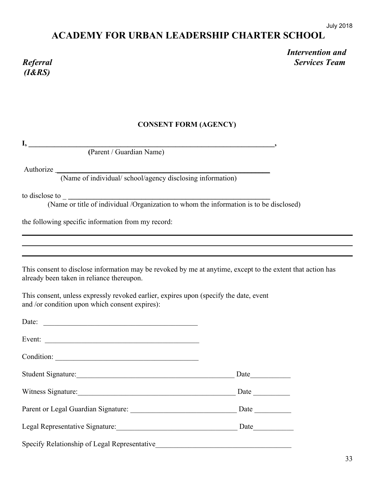# *(I&RS)*

*Intervention and Referral Services Team*

#### **CONSENT FORM (AGENCY)**

**I, \_\_\_\_\_\_\_\_\_\_\_\_\_\_\_\_\_\_\_\_\_\_\_\_\_\_\_\_\_\_\_\_\_\_\_\_\_\_\_\_\_\_\_\_\_\_\_\_\_\_\_\_\_\_\_\_\_\_\_\_\_\_\_\_\_\_\_,**

 **(**Parent / Guardian Name)

Authorize **\_\_\_\_\_\_\_\_\_\_\_\_\_\_\_\_\_\_\_\_\_\_\_\_\_\_\_\_\_\_\_\_\_\_\_\_\_\_\_\_\_\_\_\_\_\_\_\_\_\_\_\_\_\_\_\_\_\_**

(Name of individual/ school/agency disclosing information)

to disclose to \_ **\_\_\_\_\_\_\_\_\_\_\_\_\_\_\_\_\_\_\_\_\_\_\_\_\_\_\_\_\_\_\_\_\_\_\_\_\_\_\_\_\_\_\_\_\_\_\_\_\_\_\_\_\_\_\_**

(Name or title of individual /Organization to whom the information is to be disclosed)

the following specific information from my record:

This consent to disclose information may be revoked by me at anytime, except to the extent that action has already been taken in reliance thereupon.

This consent, unless expressly revoked earlier, expires upon (specify the date, event and /or condition upon which consent expires):

| Date:                                        |                             |
|----------------------------------------------|-----------------------------|
| Event:                                       |                             |
|                                              |                             |
| Student Signature:                           |                             |
| Witness Signature:                           |                             |
|                                              | Date $\qquad \qquad \qquad$ |
|                                              |                             |
| Specify Relationship of Legal Representative |                             |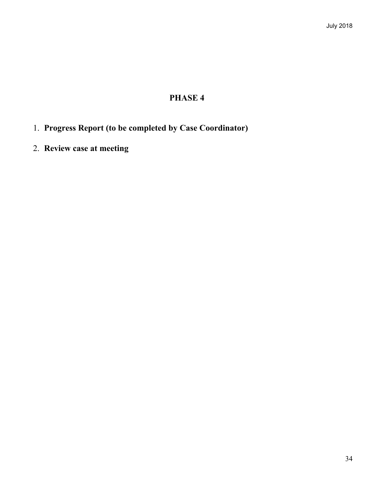### **PHASE 4**

- 1. **Progress Report (to be completed by Case Coordinator)**
- 2. **Review case at meeting**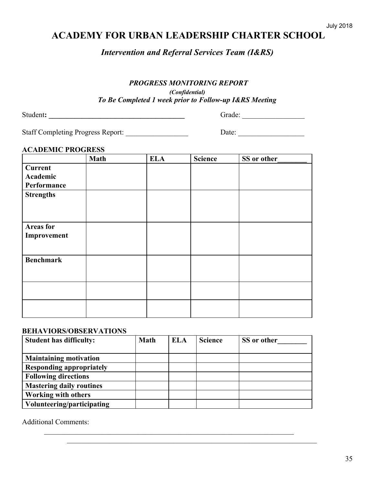*Intervention and Referral Services Team (I&RS)*

#### *PROGRESS MONITORING REPORT*

*(Confidential) To Be Completed 1 week prior to Follow-up I&RS Meeting*

| Student: |  |
|----------|--|
|          |  |

Student**: \_\_\_\_\_\_\_\_\_\_\_\_\_\_\_\_\_\_\_\_\_\_\_\_\_\_\_\_\_\_\_\_\_\_\_\_\_** Grade: \_\_\_\_\_\_\_\_\_\_\_\_\_\_\_\_\_

Staff Completing Progress Report: \_\_\_\_\_\_\_\_\_\_\_\_\_\_\_\_\_ Date: \_\_\_\_\_\_\_\_\_\_\_\_\_\_\_\_\_\_

#### **ACADEMIC PROGRESS**

|                  | <b>Math</b> | <b>ELA</b> | <b>Science</b> | SS or other |
|------------------|-------------|------------|----------------|-------------|
| <b>Current</b>   |             |            |                |             |
| Academic         |             |            |                |             |
| Performance      |             |            |                |             |
| <b>Strengths</b> |             |            |                |             |
|                  |             |            |                |             |
|                  |             |            |                |             |
| <b>Areas</b> for |             |            |                |             |
| Improvement      |             |            |                |             |
|                  |             |            |                |             |
|                  |             |            |                |             |
| <b>Benchmark</b> |             |            |                |             |
|                  |             |            |                |             |
|                  |             |            |                |             |
|                  |             |            |                |             |
|                  |             |            |                |             |
|                  |             |            |                |             |
|                  |             |            |                |             |

#### **BEHAVIORS/OBSERVATIONS**

| <b>Student has difficulty:</b>  | <b>Math</b> | ELA | <b>Science</b> | SS or other |
|---------------------------------|-------------|-----|----------------|-------------|
| <b>Maintaining motivation</b>   |             |     |                |             |
| <b>Responding appropriately</b> |             |     |                |             |
| <b>Following directions</b>     |             |     |                |             |
| <b>Mastering daily routines</b> |             |     |                |             |
| <b>Working with others</b>      |             |     |                |             |
| Volunteering/participating      |             |     |                |             |

 $\mathcal{L}_\mathcal{L} = \mathcal{L}_\mathcal{L} = \mathcal{L}_\mathcal{L} = \mathcal{L}_\mathcal{L} = \mathcal{L}_\mathcal{L} = \mathcal{L}_\mathcal{L} = \mathcal{L}_\mathcal{L} = \mathcal{L}_\mathcal{L} = \mathcal{L}_\mathcal{L} = \mathcal{L}_\mathcal{L} = \mathcal{L}_\mathcal{L} = \mathcal{L}_\mathcal{L} = \mathcal{L}_\mathcal{L} = \mathcal{L}_\mathcal{L} = \mathcal{L}_\mathcal{L} = \mathcal{L}_\mathcal{L} = \mathcal{L}_\mathcal{L}$ 

 $\mathcal{L}_\text{max}$  , and the contribution of the contribution of the contribution of the contribution of the contribution of the contribution of the contribution of the contribution of the contribution of the contribution of t

Additional Comments: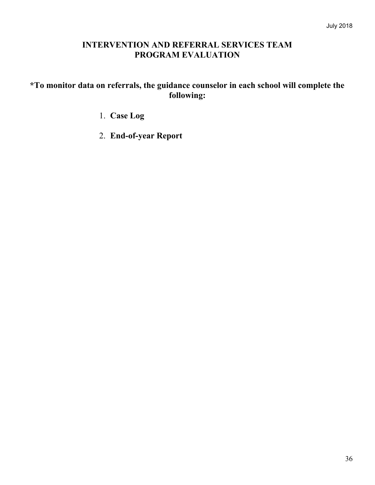### **INTERVENTION AND REFERRAL SERVICES TEAM PROGRAM EVALUATION**

### **\*To monitor data on referrals, the guidance counselor in each school will complete the following:**

- 1. **Case Log**
- 2. **End-of-year Report**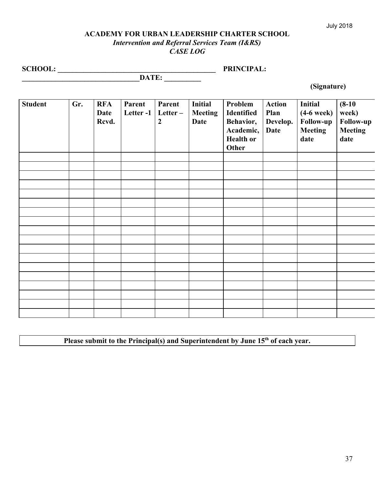#### July 2018

#### **ACADEMY FOR URBAN LEADERSHIP CHARTER SCHOOL** *Intervention and Referral Services Team (I&RS) CASE LOG*

**SCHOOL: \_\_\_\_\_\_\_\_\_\_\_\_\_\_\_\_\_\_\_\_\_\_\_\_\_\_\_\_\_\_\_\_\_\_\_\_\_\_\_\_\_\_\_ PRINCIPAL:**

**\_\_\_\_\_\_\_\_\_\_\_\_\_\_\_\_\_\_\_\_\_\_\_\_\_\_\_\_\_\_\_\_DATE: \_\_\_\_\_\_\_\_\_\_**

 **(Signature)**

| <b>Student</b> | Gr. | <b>RFA</b><br>Date<br>Rcvd. | Parent<br>Letter-1 | Parent<br>Letter-<br>$\boldsymbol{2}$ | <b>Initial</b><br><b>Meeting</b><br><b>Date</b> | Problem<br>Identified<br>Behavior,<br>Academic,<br><b>Health or</b><br><b>Other</b> | <b>Action</b><br>Plan<br>Develop.<br><b>Date</b> | Initial<br>$(4-6$ week $)$<br><b>Follow-up</b><br><b>Meeting</b><br>date | $(8-10)$<br>week)<br>Follow-up<br><b>Meeting</b><br>date |
|----------------|-----|-----------------------------|--------------------|---------------------------------------|-------------------------------------------------|-------------------------------------------------------------------------------------|--------------------------------------------------|--------------------------------------------------------------------------|----------------------------------------------------------|
|                |     |                             |                    |                                       |                                                 |                                                                                     |                                                  |                                                                          |                                                          |
|                |     |                             |                    |                                       |                                                 |                                                                                     |                                                  |                                                                          |                                                          |
|                |     |                             |                    |                                       |                                                 |                                                                                     |                                                  |                                                                          |                                                          |
|                |     |                             |                    |                                       |                                                 |                                                                                     |                                                  |                                                                          |                                                          |
|                |     |                             |                    |                                       |                                                 |                                                                                     |                                                  |                                                                          |                                                          |
|                |     |                             |                    |                                       |                                                 |                                                                                     |                                                  |                                                                          |                                                          |
|                |     |                             |                    |                                       |                                                 |                                                                                     |                                                  |                                                                          |                                                          |
|                |     |                             |                    |                                       |                                                 |                                                                                     |                                                  |                                                                          |                                                          |
|                |     |                             |                    |                                       |                                                 |                                                                                     |                                                  |                                                                          |                                                          |
|                |     |                             |                    |                                       |                                                 |                                                                                     |                                                  |                                                                          |                                                          |
|                |     |                             |                    |                                       |                                                 |                                                                                     |                                                  |                                                                          |                                                          |
|                |     |                             |                    |                                       |                                                 |                                                                                     |                                                  |                                                                          |                                                          |
|                |     |                             |                    |                                       |                                                 |                                                                                     |                                                  |                                                                          |                                                          |
|                |     |                             |                    |                                       |                                                 |                                                                                     |                                                  |                                                                          |                                                          |
|                |     |                             |                    |                                       |                                                 |                                                                                     |                                                  |                                                                          |                                                          |
|                |     |                             |                    |                                       |                                                 |                                                                                     |                                                  |                                                                          |                                                          |
|                |     |                             |                    |                                       |                                                 |                                                                                     |                                                  |                                                                          |                                                          |

Please submit to the Principal(s) and Superintendent by June 15<sup>th</sup> of each year.